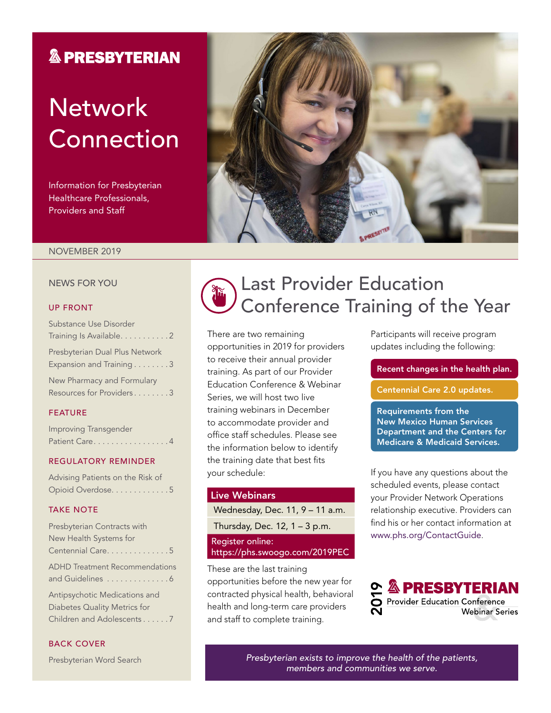### **& PRESBYTERIAN**

# **Network** Connection

Information for Presbyterian Healthcare Professionals, Providers and Staff



#### NOVEMBER 2019

#### NEWS FOR YOU

#### UP FRONT

| Substance Use Disorder                                     |
|------------------------------------------------------------|
| Training Is Available. 2                                   |
| Presbyterian Dual Plus Network<br>Expansion and Training 3 |
| New Pharmacy and Formulary                                 |
| Resources for Providers3                                   |

### FEATURE

| Improving Transgender |  |  |
|-----------------------|--|--|
| Patient Care4         |  |  |

#### REGULATORY REMINDER

| Advising Patients on the Risk of |  |
|----------------------------------|--|
| Opioid Overdose. 5               |  |

### TAKE NOTE

| Presbyterian Contracts with           |
|---------------------------------------|
| New Health Systems for                |
| Centennial Care. 5                    |
| <b>ADHD</b> Treatment Recommendations |
| and Guidelines 6                      |
| Antipsychotic Medications and         |
| Diabetes Quality Metrics for          |
| Children and Adolescents7             |

### BACK COVER

Presbyterian Word Search



## Last Provider Education Conference Training of the Year

There are two remaining opportunities in 2019 for providers to receive their annual provider training. As part of our Provider Education Conference & Webinar Series, we will host two live training webinars in December to accommodate provider and office staff schedules. Please see the information below to identify the training date that best fits your schedule:

### Live Webinars

Wednesday, Dec. 11, 9 – 11 a.m. Thursday, Dec. 12, 1 – 3 p.m. Register online:

<https://phs.swoogo.com/2019PEC>

These are the last training opportunities before the new year for contracted physical health, behavioral health and long-term care providers and staff to complete training.

Participants will receive program updates including the following:

Recent changes in the health plan.

Centennial Care 2.0 updates.

Requirements from the New Mexico Human Services Department and the Centers for Medicare & Medicaid Services.

If you have any questions about the scheduled events, please contact your Provider Network Operations relationship executive. Providers can find his or her contact information at [www.phs.org/ContactGuide](file:///\\Pacfile9\groups\Fluent%20Provider%20Network\Communications\Newsletters\Presbyterian\2019\4.%20July\www.phs.org\ContactGuide).



*Presbyterian exists to improve the health of the patients, members and communities we serve.*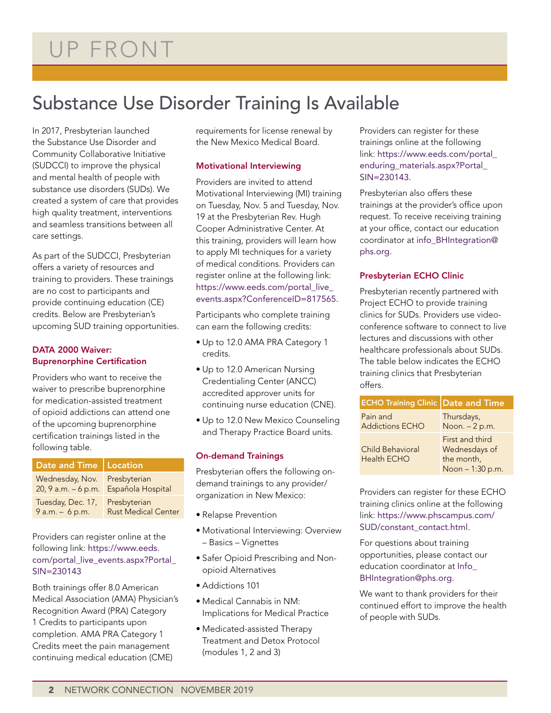## Substance Use Disorder Training Is Available

In 2017, Presbyterian launched the Substance Use Disorder and Community Collaborative Initiative (SUDCCI) to improve the physical and mental health of people with substance use disorders (SUDs). We created a system of care that provides high quality treatment, interventions and seamless transitions between all care settings.

As part of the SUDCCI, Presbyterian offers a variety of resources and training to providers. These trainings are no cost to participants and provide continuing education (CE) credits. Below are Presbyterian's upcoming SUD training opportunities.

### DATA 2000 Waiver: Buprenorphine Certification

Providers who want to receive the waiver to prescribe buprenorphine for medication-assisted treatment of opioid addictions can attend one of the upcoming buprenorphine certification trainings listed in the following table.

| Date and Time   Location                                              |                                            |
|-----------------------------------------------------------------------|--------------------------------------------|
| Wednesday, Nov. Presbyterian<br>20, 9 a.m. - 6 p.m. Española Hospital |                                            |
| Tuesday, Dec. 17,<br>$9 a.m. - 6 p.m.$                                | Presbyterian<br><b>Rust Medical Center</b> |

Providers can register online at the following link: [https://www.eeds.](https://www.eeds.com/portal_live_events.aspx?Portal_SIN=230143) [com/portal\\_live\\_events.aspx?Portal\\_](https://www.eeds.com/portal_live_events.aspx?Portal_SIN=230143) [SIN=230143](https://www.eeds.com/portal_live_events.aspx?Portal_SIN=230143)

Both trainings offer 8.0 American Medical Association (AMA) Physician's Recognition Award (PRA) Category 1 Credits to participants upon completion. AMA PRA Category 1 Credits meet the pain management continuing medical education (CME)

requirements for license renewal by the New Mexico Medical Board.

### Motivational Interviewing

Providers are invited to attend Motivational Interviewing (MI) training on Tuesday, Nov. 5 and Tuesday, Nov. 19 at the Presbyterian Rev. Hugh Cooper Administrative Center. At this training, providers will learn how to apply MI techniques for a variety of medical conditions. Providers can register online at the following link: [https://www.eeds.com/portal\\_live\\_](https://www.eeds.com/portal_live_events.aspx?ConferenceID=817565) [events.aspx?ConferenceID=817565](https://www.eeds.com/portal_live_events.aspx?ConferenceID=817565).

Participants who complete training can earn the following credits:

- Up to 12.0 AMA PRA Category 1 credits.
- Up to 12.0 American Nursing Credentialing Center (ANCC) accredited approver units for continuing nurse education (CNE).
- Up to 12.0 New Mexico Counseling and Therapy Practice Board units.

### On-demand Trainings

Presbyterian offers the following ondemand trainings to any provider/ organization in New Mexico:

- Relapse Prevention
- Motivational Interviewing: Overview – Basics – Vignettes
- Safer Opioid Prescribing and Nonopioid Alternatives
- Addictions 101
- Medical Cannabis in NM: Implications for Medical Practice
- Medicated-assisted Therapy Treatment and Detox Protocol (modules 1, 2 and 3)

Providers can register for these trainings online at the following link: [https://www.eeds.com/portal\\_](https://www.eeds.com/portal_enduring_materials.aspx?Portal_SIN=230143) [enduring\\_materials.aspx?Portal\\_](https://www.eeds.com/portal_enduring_materials.aspx?Portal_SIN=230143) [SIN=230143](https://www.eeds.com/portal_enduring_materials.aspx?Portal_SIN=230143).

Presbyterian also offers these trainings at the provider's office upon request. To receive receiving training at your office, contact our education coordinator at [info\\_BHIntegration@](mailto:info_BHIntegration@phs.org) [phs.org](mailto:info_BHIntegration@phs.org).

### Presbyterian ECHO Clinic

Presbyterian recently partnered with Project ECHO to provide training clinics for SUDs. Providers use videoconference software to connect to live lectures and discussions with other healthcare professionals about SUDs. The table below indicates the ECHO training clinics that Presbyterian offers.

| <b>ECHO Training Clinic Date and Time</b>     |                                                                    |
|-----------------------------------------------|--------------------------------------------------------------------|
| Pain and<br><b>Addictions ECHO</b>            | Thursdays,<br>Noon. - 2 p.m.                                       |
| <b>Child Behavioral</b><br><b>Health ECHO</b> | First and third<br>Wednesdays of<br>the month,<br>Noon - 1:30 p.m. |

Providers can register for these ECHO training clinics online at the following link: [https://www.phscampus.com/](https://www.phscampus.com/SUD/constant_contact.html) [SUD/constant\\_contact.html.](https://www.phscampus.com/SUD/constant_contact.html)

For questions about training opportunities, please contact our education coordinator at [Info\\_](mailto:Info_BHIntegration@phs.org) [BHIntegration@phs.org](mailto:Info_BHIntegration@phs.org).

We want to thank providers for their continued effort to improve the health of people with SUDs.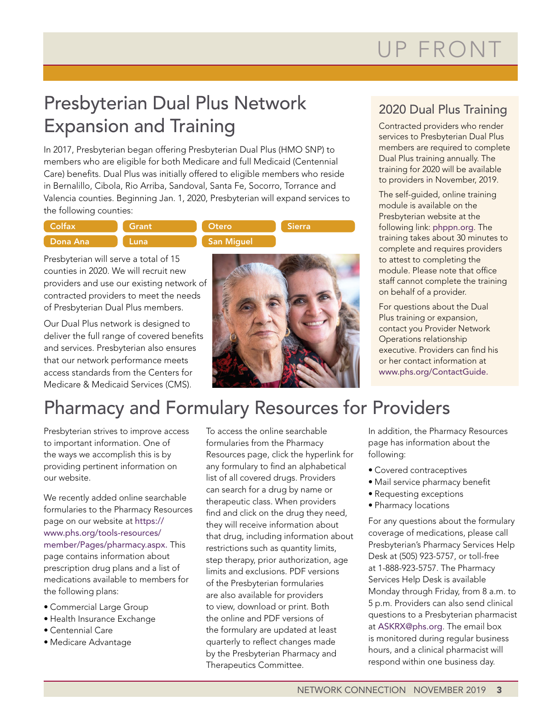# UP FRONT

## Presbyterian Dual Plus Network Expansion and Training

In 2017, Presbyterian began offering Presbyterian Dual Plus (HMO SNP) to members who are eligible for both Medicare and full Medicaid (Centennial Care) benefits. Dual Plus was initially offered to eligible members who reside in Bernalillo, Cibola, Rio Arriba, Sandoval, Santa Fe, Socorro, Torrance and Valencia counties. Beginning Jan. 1, 2020, Presbyterian will expand services to the following counties:

| <b>Colfax</b> | Grant | Otero      | <b>Sierra</b> |
|---------------|-------|------------|---------------|
| Dona Ana      | Luna  | San Miquel |               |

Presbyterian will serve a total of 15 counties in 2020. We will recruit new providers and use our existing network of contracted providers to meet the needs of Presbyterian Dual Plus members.

Our Dual Plus network is designed to deliver the full range of covered benefits and services. Presbyterian also ensures that our network performance meets access standards from the Centers for Medicare & Medicaid Services (CMS).



### 2020 Dual Plus Training

Contracted providers who render services to Presbyterian Dual Plus members are required to complete Dual Plus training annually. The training for 2020 will be available to providers in November, 2019.

The self-guided, online training module is available on the Presbyterian website at the following link: [phppn.org](http://phppn.org). The training takes about 30 minutes to complete and requires providers to attest to completing the module. Please note that office staff cannot complete the training on behalf of a provider.

For questions about the Dual Plus training or expansion, contact you Provider Network Operations relationship executive. Providers can find his or her contact information at [www.phs.org/ContactGuide](file:///C:\Users\Rprewitt\AppData\Local\Microsoft\Windows\Temporary%20Internet%20Files\Content.Outlook\W5XE0YSP\www.phs.org\ContactGuide).

## Pharmacy and Formulary Resources for Providers

Presbyterian strives to improve access to important information. One of the ways we accomplish this is by providing pertinent information on our website.

We recently added online searchable formularies to the Pharmacy Resources page on our website at [https://](https://www.phs.org/tools-resources/member/Pages/pharmacy.aspx) [www.phs.org/tools-resources/](https://www.phs.org/tools-resources/member/Pages/pharmacy.aspx) [member/Pages/pharmacy.aspx.](https://www.phs.org/tools-resources/member/Pages/pharmacy.aspx) This page contains information about prescription drug plans and a list of medications available to members for the following plans:

- Commercial Large Group
- Health Insurance Exchange
- Centennial Care
- Medicare Advantage

To access the online searchable formularies from the Pharmacy Resources page, click the hyperlink for any formulary to find an alphabetical list of all covered drugs. Providers can search for a drug by name or therapeutic class. When providers find and click on the drug they need, they will receive information about that drug, including information about restrictions such as quantity limits, step therapy, prior authorization, age limits and exclusions. PDF versions of the Presbyterian formularies are also available for providers to view, download or print. Both the online and PDF versions of the formulary are updated at least quarterly to reflect changes made by the Presbyterian Pharmacy and Therapeutics Committee.

In addition, the Pharmacy Resources page has information about the following:

- Covered contraceptives
- Mail service pharmacy benefit
- Requesting exceptions
- Pharmacy locations

For any questions about the formulary coverage of medications, please call Presbyterian's Pharmacy Services Help Desk at (505) 923-5757, or toll-free at 1-888-923-5757. The Pharmacy Services Help Desk is available Monday through Friday, from 8 a.m. to 5 p.m. Providers can also send clinical questions to a Presbyterian pharmacist at [ASKRX@phs.org](mailto:ASKRX@phs.org). The email box is monitored during regular business hours, and a clinical pharmacist will respond within one business day.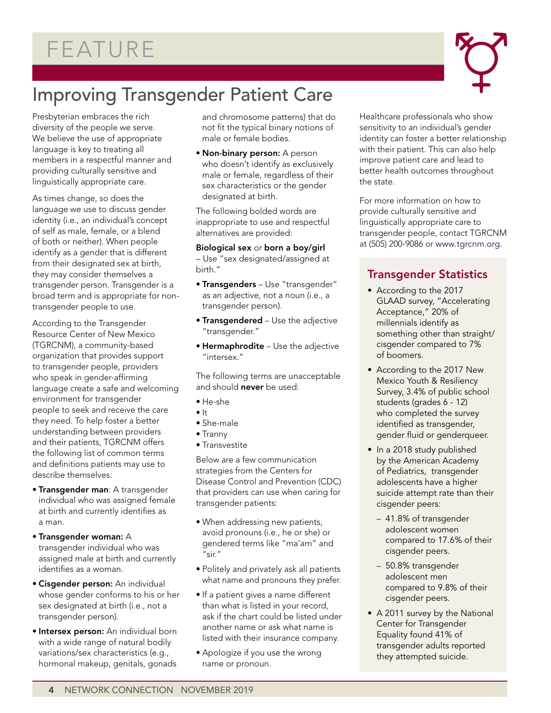## FEATURE



## Improving Transgender Patient Care

Presbyterian embraces the rich diversity of the people we serve. We believe the use of appropriate language is key to treating all members in a respectful manner and providing culturally sensitive and linguistically appropriate care.

As times change, so does the language we use to discuss gender identity (i.e., an individual's concept of self as male, female, or a blend of both or neither). When people identify as a gender that is different from their designated sex at birth, they may consider themselves a transgender person. Transgender is a broad term and is appropriate for nontransgender people to use.

According to the Transgender Resource Center of New Mexico (TGRCNM), a community-based organization that provides support to transgender people, providers who speak in gender-affirming language create a safe and welcoming environment for transgender people to seek and receive the care they need. To help foster a better understanding between providers and their patients, TGRCNM offers the following list of common terms and definitions patients may use to describe themselves:

- Transgender man: A transgender individual who was assigned female at birth and currently identifies as a man.
- Transgender woman: A transgender individual who was assigned male at birth and currently identifies as a woman.
- Cisgender person: An individual whose gender conforms to his or her sex designated at birth (i.e., not a transgender person).
- **Intersex person:** An individual born with a wide range of natural bodily variations/sex characteristics (e.g., hormonal makeup, genitals, gonads

and chromosome patterns) that do not fit the typical binary notions of male or female bodies.

• Non-binary person: A person who doesn't identify as exclusively male or female, regardless of their sex characteristics or the gender designated at birth.

The following bolded words are inappropriate to use and respectful alternatives are provided:

#### Biological sex or born a boy/girl

– Use "sex designated/assigned at birth."

- Transgenders Use "transgender" as an adjective, not a noun (i.e., a transgender person).
- **Transgendered** Use the adjective "transgender."
- Hermaphrodite Use the adjective "intersex."

The following terms are unacceptable and should never be used:

- He-she
- $\bullet$  It
- She-male
- Tranny
- Transvestite

Below are a few communication strategies from the Centers for Disease Control and Prevention (CDC) that providers can use when caring for transgender patients:

- When addressing new patients, avoid pronouns (i.e., he or she) or gendered terms like "ma'am" and "sir."
- Politely and privately ask all patients what name and pronouns they prefer.
- If a patient gives a name different than what is listed in your record, ask if the chart could be listed under another name or ask what name is listed with their insurance company.
- Apologize if you use the wrong name or pronoun.

Healthcare professionals who show sensitivity to an individual's gender identity can foster a better relationship with their patient. This can also help improve patient care and lead to better health outcomes throughout the state.

For more information on how to provide culturally sensitive and linguistically appropriate care to transgender people, contact TGRCNM at (505) 200-9086 or [www.tgrcnm.org](https://tgrcnm.org/).

### Transgender Statistics

- According to the 2017 GLAAD survey, "Accelerating Acceptance," 20% of millennials identify as something other than straight/ cisgender compared to 7% of boomers.
- According to the 2017 New Mexico Youth & Resiliency Survey, 3.4% of public school students (grades 6 - 12) who completed the survey identified as transgender, gender fluid or genderqueer.
- In a 2018 study published by the American Academy of Pediatrics, transgender adolescents have a higher suicide attempt rate than their cisgender peers:
	- 41.8% of transgender adolescent women compared to 17.6% of their cisgender peers.
	- 50.8% transgender adolescent men compared to 9.8% of their cisgender peers.
- A 2011 survey by the National Center for Transgender Equality found 41% of transgender adults reported they attempted suicide.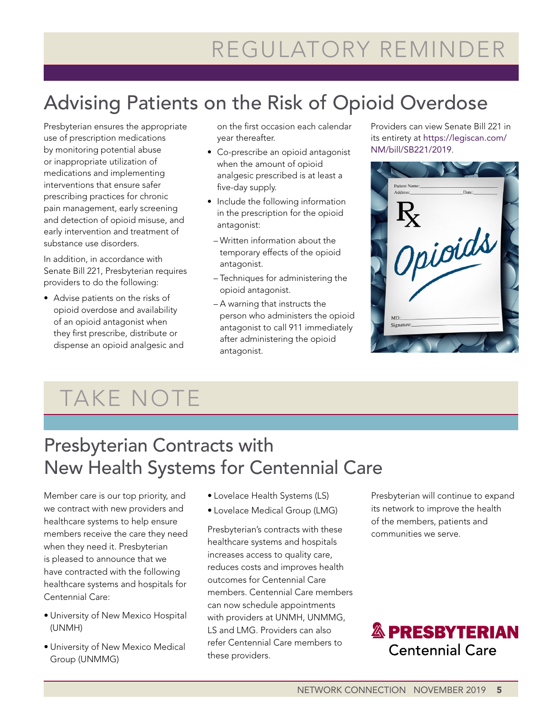# REGULATORY REMINDER

## Advising Patients on the Risk of Opioid Overdose

Presbyterian ensures the appropriate use of prescription medications by monitoring potential abuse or inappropriate utilization of medications and implementing interventions that ensure safer prescribing practices for chronic pain management, early screening and detection of opioid misuse, and early intervention and treatment of substance use disorders.

In addition, in accordance with Senate Bill 221, Presbyterian requires providers to do the following:

• Advise patients on the risks of opioid overdose and availability of an opioid antagonist when they first prescribe, distribute or dispense an opioid analgesic and on the first occasion each calendar year thereafter.

- Co-prescribe an opioid antagonist when the amount of opioid analgesic prescribed is at least a five-day supply.
- Include the following information in the prescription for the opioid antagonist:
- Written information about the temporary effects of the opioid antagonist.
- Techniques for administering the opioid antagonist.
- A warning that instructs the person who administers the opioid antagonist to call 911 immediately after administering the opioid antagonist.

Providers can view Senate Bill 221 in its entirety at [https://legiscan.com/](https://legiscan.com/NM/bill/SB221/2019) [NM/bill/SB221/2019](https://legiscan.com/NM/bill/SB221/2019).

| Patient Name:<br>Address: | Date:   |  |
|---------------------------|---------|--|
| $R_{\rm X}$               |         |  |
|                           | Opioids |  |
|                           |         |  |
| MD:<br>Signature:         |         |  |
|                           |         |  |

# TAKE NOTE

## Presbyterian Contracts with New Health Systems for Centennial Care

Member care is our top priority, and we contract with new providers and healthcare systems to help ensure members receive the care they need when they need it. Presbyterian is pleased to announce that we have contracted with the following healthcare systems and hospitals for Centennial Care:

- University of New Mexico Hospital (UNMH)
- University of New Mexico Medical Group (UNMMG)
- Lovelace Health Systems (LS)
- Lovelace Medical Group (LMG)

Presbyterian's contracts with these healthcare systems and hospitals increases access to quality care, reduces costs and improves health outcomes for Centennial Care members. Centennial Care members can now schedule appointments with providers at UNMH, UNMMG, LS and LMG. Providers can also refer Centennial Care members to these providers.

Presbyterian will continue to expand its network to improve the health of the members, patients and communities we serve.

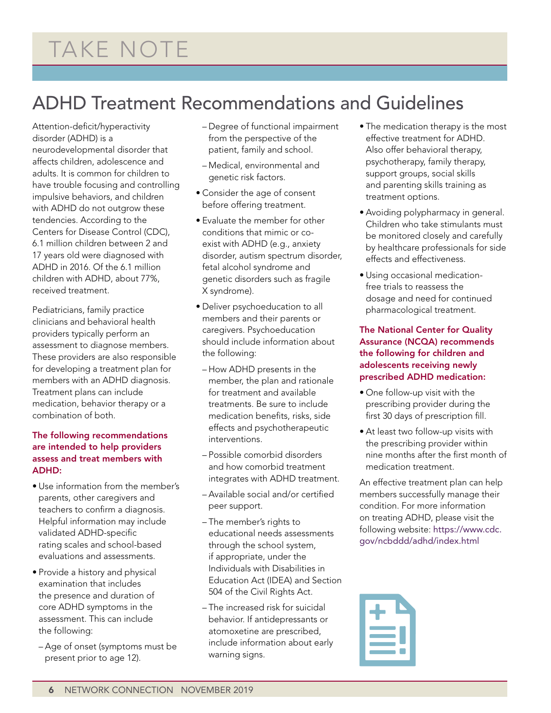## ADHD Treatment Recommendations and Guidelines

Attention-deficit/hyperactivity disorder (ADHD) is a neurodevelopmental disorder that affects children, adolescence and adults. It is common for children to have trouble focusing and controlling impulsive behaviors, and children with ADHD do not outgrow these tendencies. According to the Centers for Disease Control (CDC), 6.1 million children between 2 and 17 years old were diagnosed with ADHD in 2016. Of the 6.1 million children with ADHD, about 77%, received treatment.

Pediatricians, family practice clinicians and behavioral health providers typically perform an assessment to diagnose members. These providers are also responsible for developing a treatment plan for members with an ADHD diagnosis. Treatment plans can include medication, behavior therapy or a combination of both.

### The following recommendations are intended to help providers assess and treat members with ADHD:

- Use information from the member's parents, other caregivers and teachers to confirm a diagnosis. Helpful information may include validated ADHD-specific rating scales and school-based evaluations and assessments.
- Provide a history and physical examination that includes the presence and duration of core ADHD symptoms in the assessment. This can include the following:
- Age of onset (symptoms must be present prior to age 12).
- Degree of functional impairment from the perspective of the patient, family and school.
- Medical, environmental and genetic risk factors.
- Consider the age of consent before offering treatment.
- Evaluate the member for other conditions that mimic or coexist with ADHD (e.g., anxiety disorder, autism spectrum disorder, fetal alcohol syndrome and genetic disorders such as fragile X syndrome).
- Deliver psychoeducation to all members and their parents or caregivers. Psychoeducation should include information about the following:
- How ADHD presents in the member, the plan and rationale for treatment and available treatments. Be sure to include medication benefits, risks, side effects and psychotherapeutic interventions.
- Possible comorbid disorders and how comorbid treatment integrates with ADHD treatment.
- Available social and/or certified peer support.
- The member's rights to educational needs assessments through the school system, if appropriate, under the Individuals with Disabilities in Education Act (IDEA) and Section 504 of the Civil Rights Act.
- The increased risk for suicidal behavior. If antidepressants or atomoxetine are prescribed, include information about early warning signs.
- The medication therapy is the most effective treatment for ADHD. Also offer behavioral therapy, psychotherapy, family therapy, support groups, social skills and parenting skills training as treatment options.
- Avoiding polypharmacy in general. Children who take stimulants must be monitored closely and carefully by healthcare professionals for side effects and effectiveness.
- Using occasional medicationfree trials to reassess the dosage and need for continued pharmacological treatment.

### The National Center for Quality Assurance (NCQA) recommends the following for children and adolescents receiving newly prescribed ADHD medication:

- One follow-up visit with the prescribing provider during the first 30 days of prescription fill.
- At least two follow-up visits with the prescribing provider within nine months after the first month of medication treatment.

An effective treatment plan can help members successfully manage their condition. For more information on treating ADHD, please visit the following website: [https://www.cdc.](https://www.cdc.gov/ncbddd/adhd/index.html) [gov/ncbddd/adhd/index.html](https://www.cdc.gov/ncbddd/adhd/index.html)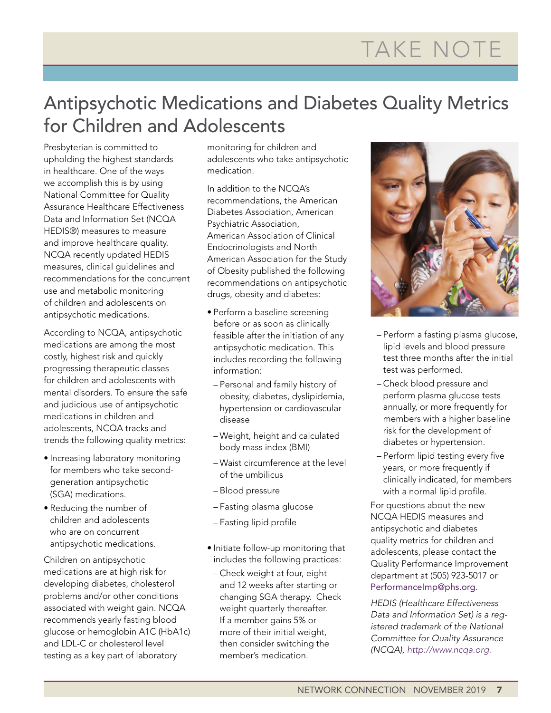# TAKE NOTE

## Antipsychotic Medications and Diabetes Quality Metrics for Children and Adolescents

Presbyterian is committed to upholding the highest standards in healthcare. One of the ways we accomplish this is by using National Committee for Quality Assurance Healthcare Effectiveness Data and Information Set (NCQA HEDIS®) measures to measure and improve healthcare quality. NCQA recently updated HEDIS measures, clinical guidelines and recommendations for the concurrent use and metabolic monitoring of children and adolescents on antipsychotic medications.

According to NCQA, antipsychotic medications are among the most costly, highest risk and quickly progressing therapeutic classes for children and adolescents with mental disorders. To ensure the safe and judicious use of antipsychotic medications in children and adolescents, NCQA tracks and trends the following quality metrics:

- Increasing laboratory monitoring for members who take secondgeneration antipsychotic (SGA) medications.
- Reducing the number of children and adolescents who are on concurrent antipsychotic medications.

Children on antipsychotic medications are at high risk for developing diabetes, cholesterol problems and/or other conditions associated with weight gain. NCQA recommends yearly fasting blood glucose or hemoglobin A1C (HbA1c) and LDL-C or cholesterol level testing as a key part of laboratory

monitoring for children and adolescents who take antipsychotic medication.

In addition to the NCQA's recommendations, the American Diabetes Association, American Psychiatric Association, American Association of Clinical Endocrinologists and North American Association for the Study of Obesity published the following recommendations on antipsychotic drugs, obesity and diabetes:

- Perform a baseline screening before or as soon as clinically feasible after the initiation of any antipsychotic medication. This includes recording the following information:
- Personal and family history of obesity, diabetes, dyslipidemia, hypertension or cardiovascular disease
- Weight, height and calculated body mass index (BMI)
- Waist circumference at the level of the umbilicus
- Blood pressure
- Fasting plasma glucose
- Fasting lipid profile
- Initiate follow-up monitoring that includes the following practices:
- Check weight at four, eight and 12 weeks after starting or changing SGA therapy. Check weight quarterly thereafter. If a member gains 5% or more of their initial weight, then consider switching the member's medication.



- Perform a fasting plasma glucose, lipid levels and blood pressure test three months after the initial test was performed.
- Check blood pressure and perform plasma glucose tests annually, or more frequently for members with a higher baseline risk for the development of diabetes or hypertension.
- Perform lipid testing every five years, or more frequently if clinically indicated, for members with a normal lipid profile.

For questions about the new NCQA HEDIS measures and antipsychotic and diabetes quality metrics for children and adolescents, please contact the Quality Performance Improvement department at (505) 923-5017 or [PerformanceImp@phs.org](file:///C:\Users\Rprewitt\AppData\Local\Microsoft\Windows\Temporary%20Internet%20Files\Content.Outlook\W5XE0YSP\PerformanceImp@phs.org).

*HEDIS (Healthcare Effectiveness Data and Information Set) is a registered trademark of the National Committee for Quality Assurance (NCQA), [http://www.ncqa.org.](http://www.ncqa.org)*